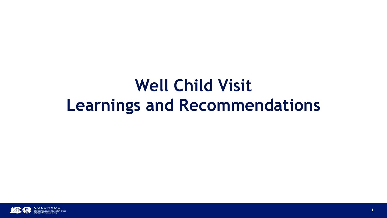#### **Well Child Visit Learnings and Recommendations**

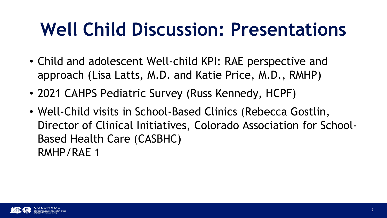#### **Well Child Discussion: Presentations**

- Child and adolescent Well-child KPI: RAE perspective and approach (Lisa Latts, M.D. and Katie Price, M.D., RMHP)
- 2021 CAHPS Pediatric Survey (Russ Kennedy, HCPF)
- Well-Child visits in School-Based Clinics (Rebecca Gostlin, Director of Clinical Initiatives, Colorado Association for School-Based Health Care (CASBHC) RMHP/RAE 1

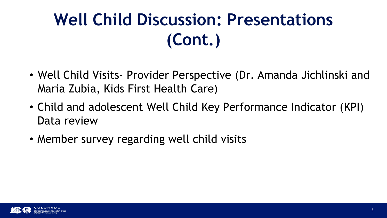#### **Well Child Discussion: Presentations (Cont.)**

- Well Child Visits- Provider Perspective (Dr. Amanda Jichlinski and Maria Zubia, Kids First Health Care)
- Child and adolescent Well Child Key Performance Indicator (KPI) Data review
- Member survey regarding well child visits

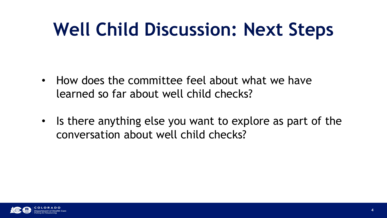#### **Well Child Discussion: Next Steps**

- How does the committee feel about what we have learned so far about well child checks?
- Is there anything else you want to explore as part of the conversation about well child checks?

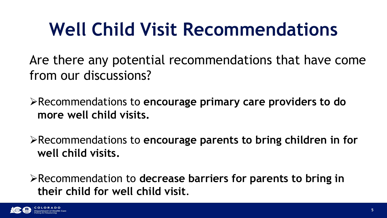Are there any potential recommendations that have come from our discussions?

Recommendations to **encourage primary care providers to do more well child visits.** 

Recommendations to **encourage parents to bring children in for well child visits.**

Recommendation to **decrease barriers for parents to bring in their child for well child visit**.

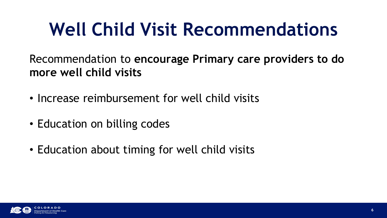Recommendation to **encourage Primary care providers to do more well child visits** 

- Increase reimbursement for well child visits
- Education on billing codes
- Education about timing for well child visits

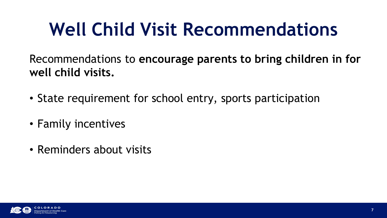Recommendations to **encourage parents to bring children in for well child visits.**

- State requirement for school entry, sports participation
- Family incentives
- Reminders about visits

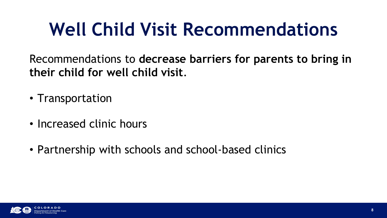Recommendations to **decrease barriers for parents to bring in their child for well child visit**.

- Transportation
- Increased clinic hours
- Partnership with schools and school-based clinics

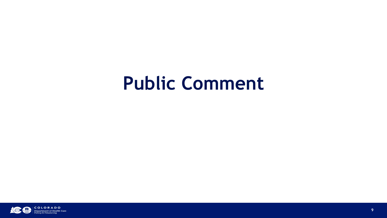#### **Public Comment**